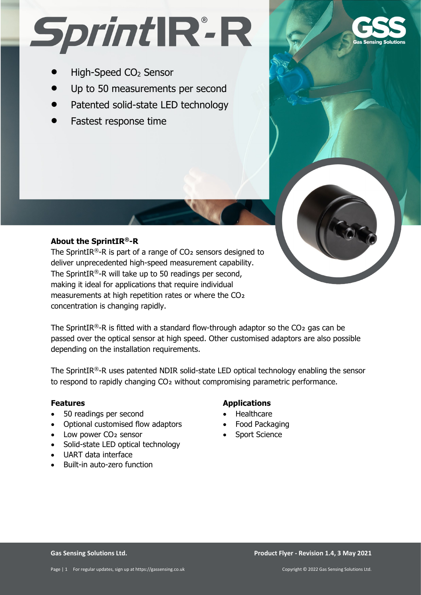# SprintIR<sup>.</sup>R

- High-Speed CO<sub>2</sub> Sensor
- Up to 50 measurements per second
- Patented solid-state LED technology
- Fastest response time



# **About the SprintIR®-R**

The SprintIR®-R is part of a range of  $CO<sub>2</sub>$  sensors designed to deliver unprecedented high-speed measurement capability. The SprintIR®-R will take up to 50 readings per second, making it ideal for applications that require individual measurements at high repetition rates or where the CO2 concentration is changing rapidly.

The SprintIR®-R is fitted with a standard flow-through adaptor so the  $CO<sub>2</sub>$  gas can be passed over the optical sensor at high speed. Other customised adaptors are also possible depending on the installation requirements.

The SprintIR®-R uses patented NDIR solid-state LED optical technology enabling the sensor to respond to rapidly changing CO2 without compromising parametric performance.

#### **Features**

- 50 readings per second
- Optional customised flow adaptors
- Low power CO<sub>2</sub> sensor
- Solid-state LED optical technology
- UART data interface
- Built-in auto-zero function

## **Applications**

- Healthcare
- Food Packaging
- Sport Science